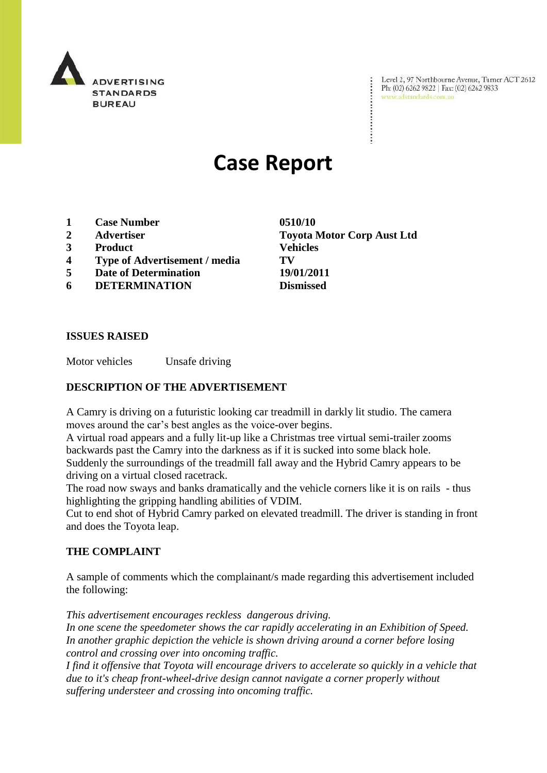

Level 2, 97 Northbourne Avenue, Turner ACT 2612 Ph: (02) 6262 9822 | Fax: (02) 6262 9833 www.adstandards.com.au

# **Case Report**

- **1 Case Number 0510/10**
- **2 Advertiser Toyota Motor Corp Aust Ltd**
- **3 Product Vehicles**
- **4 Type of Advertisement / media TV**
- **5 Date of Determination 19/01/2011**
- **6 DETERMINATION Dismissed**

### **ISSUES RAISED**

Motor vehicles Unsafe driving

## **DESCRIPTION OF THE ADVERTISEMENT**

A Camry is driving on a futuristic looking car treadmill in darkly lit studio. The camera moves around the car's best angles as the voice-over begins.

A virtual road appears and a fully lit-up like a Christmas tree virtual semi-trailer zooms backwards past the Camry into the darkness as if it is sucked into some black hole. Suddenly the surroundings of the treadmill fall away and the Hybrid Camry appears to be driving on a virtual closed racetrack.

The road now sways and banks dramatically and the vehicle corners like it is on rails - thus highlighting the gripping handling abilities of VDIM.

Cut to end shot of Hybrid Camry parked on elevated treadmill. The driver is standing in front and does the Toyota leap.

### **THE COMPLAINT**

A sample of comments which the complainant/s made regarding this advertisement included the following:

*This advertisement encourages reckless dangerous driving. In one scene the speedometer shows the car rapidly accelerating in an Exhibition of Speed. In another graphic depiction the vehicle is shown driving around a corner before losing control and crossing over into oncoming traffic.* 

*I find it offensive that Toyota will encourage drivers to accelerate so quickly in a vehicle that due to it's cheap front-wheel-drive design cannot navigate a corner properly without suffering understeer and crossing into oncoming traffic.*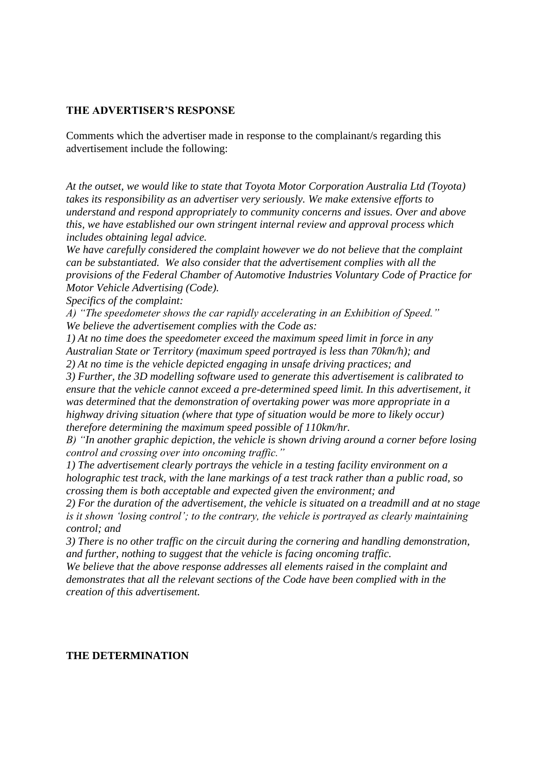#### **THE ADVERTISER'S RESPONSE**

Comments which the advertiser made in response to the complainant/s regarding this advertisement include the following:

*At the outset, we would like to state that Toyota Motor Corporation Australia Ltd (Toyota) takes its responsibility as an advertiser very seriously. We make extensive efforts to understand and respond appropriately to community concerns and issues. Over and above this, we have established our own stringent internal review and approval process which includes obtaining legal advice.* 

*We have carefully considered the complaint however we do not believe that the complaint can be substantiated. We also consider that the advertisement complies with all the provisions of the Federal Chamber of Automotive Industries Voluntary Code of Practice for Motor Vehicle Advertising (Code).*

*Specifics of the complaint:* 

*A) "The speedometer shows the car rapidly accelerating in an Exhibition of Speed." We believe the advertisement complies with the Code as:*

*1) At no time does the speedometer exceed the maximum speed limit in force in any Australian State or Territory (maximum speed portrayed is less than 70km/h); and 2) At no time is the vehicle depicted engaging in unsafe driving practices; and* 

*3) Further, the 3D modelling software used to generate this advertisement is calibrated to ensure that the vehicle cannot exceed a pre-determined speed limit. In this advertisement, it was determined that the demonstration of overtaking power was more appropriate in a highway driving situation (where that type of situation would be more to likely occur) therefore determining the maximum speed possible of 110km/hr.*

*B) "In another graphic depiction, the vehicle is shown driving around a corner before losing control and crossing over into oncoming traffic."*

*1) The advertisement clearly portrays the vehicle in a testing facility environment on a holographic test track, with the lane markings of a test track rather than a public road, so crossing them is both acceptable and expected given the environment; and*

*2) For the duration of the advertisement, the vehicle is situated on a treadmill and at no stage is it shown "losing control"; to the contrary, the vehicle is portrayed as clearly maintaining control; and*

*3) There is no other traffic on the circuit during the cornering and handling demonstration, and further, nothing to suggest that the vehicle is facing oncoming traffic.* 

*We believe that the above response addresses all elements raised in the complaint and demonstrates that all the relevant sections of the Code have been complied with in the creation of this advertisement.*

#### **THE DETERMINATION**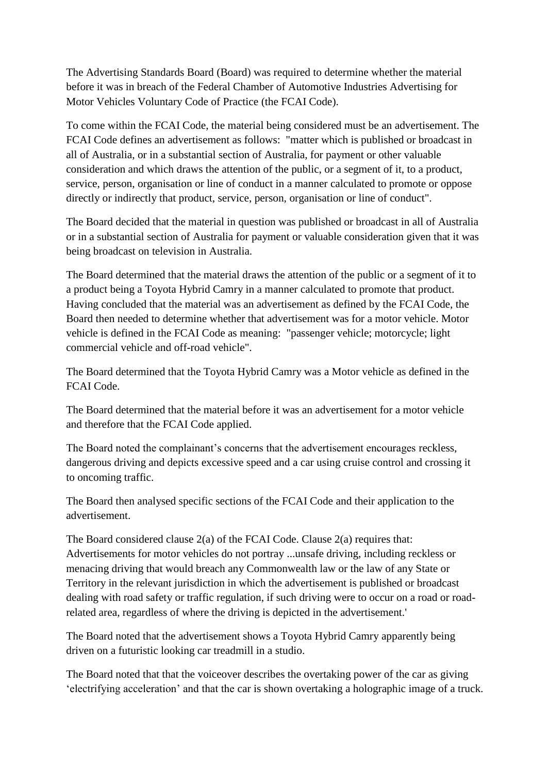The Advertising Standards Board (Board) was required to determine whether the material before it was in breach of the Federal Chamber of Automotive Industries Advertising for Motor Vehicles Voluntary Code of Practice (the FCAI Code).

To come within the FCAI Code, the material being considered must be an advertisement. The FCAI Code defines an advertisement as follows: "matter which is published or broadcast in all of Australia, or in a substantial section of Australia, for payment or other valuable consideration and which draws the attention of the public, or a segment of it, to a product, service, person, organisation or line of conduct in a manner calculated to promote or oppose directly or indirectly that product, service, person, organisation or line of conduct".

The Board decided that the material in question was published or broadcast in all of Australia or in a substantial section of Australia for payment or valuable consideration given that it was being broadcast on television in Australia.

The Board determined that the material draws the attention of the public or a segment of it to a product being a Toyota Hybrid Camry in a manner calculated to promote that product. Having concluded that the material was an advertisement as defined by the FCAI Code, the Board then needed to determine whether that advertisement was for a motor vehicle. Motor vehicle is defined in the FCAI Code as meaning: "passenger vehicle; motorcycle; light commercial vehicle and off-road vehicle".

The Board determined that the Toyota Hybrid Camry was a Motor vehicle as defined in the FCAI Code.

The Board determined that the material before it was an advertisement for a motor vehicle and therefore that the FCAI Code applied.

The Board noted the complainant"s concerns that the advertisement encourages reckless, dangerous driving and depicts excessive speed and a car using cruise control and crossing it to oncoming traffic.

The Board then analysed specific sections of the FCAI Code and their application to the advertisement.

The Board considered clause 2(a) of the FCAI Code. Clause 2(a) requires that: Advertisements for motor vehicles do not portray ...unsafe driving, including reckless or menacing driving that would breach any Commonwealth law or the law of any State or Territory in the relevant jurisdiction in which the advertisement is published or broadcast dealing with road safety or traffic regulation, if such driving were to occur on a road or roadrelated area, regardless of where the driving is depicted in the advertisement.'

The Board noted that the advertisement shows a Toyota Hybrid Camry apparently being driven on a futuristic looking car treadmill in a studio.

The Board noted that that the voiceover describes the overtaking power of the car as giving "electrifying acceleration" and that the car is shown overtaking a holographic image of a truck.